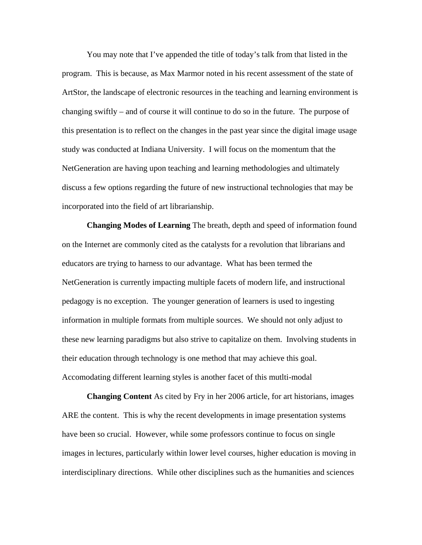You may note that I've appended the title of today's talk from that listed in the program. This is because, as Max Marmor noted in his recent assessment of the state of ArtStor, the landscape of electronic resources in the teaching and learning environment is changing swiftly – and of course it will continue to do so in the future. The purpose of this presentation is to reflect on the changes in the past year since the digital image usage study was conducted at Indiana University. I will focus on the momentum that the NetGeneration are having upon teaching and learning methodologies and ultimately discuss a few options regarding the future of new instructional technologies that may be incorporated into the field of art librarianship.

**Changing Modes of Learning** The breath, depth and speed of information found on the Internet are commonly cited as the catalysts for a revolution that librarians and educators are trying to harness to our advantage. What has been termed the NetGeneration is currently impacting multiple facets of modern life, and instructional pedagogy is no exception. The younger generation of learners is used to ingesting information in multiple formats from multiple sources. We should not only adjust to these new learning paradigms but also strive to capitalize on them. Involving students in their education through technology is one method that may achieve this goal. Accomodating different learning styles is another facet of this mutlti-modal

**Changing Content** As cited by Fry in her 2006 article, for art historians, images ARE the content. This is why the recent developments in image presentation systems have been so crucial. However, while some professors continue to focus on single images in lectures, particularly within lower level courses, higher education is moving in interdisciplinary directions. While other disciplines such as the humanities and sciences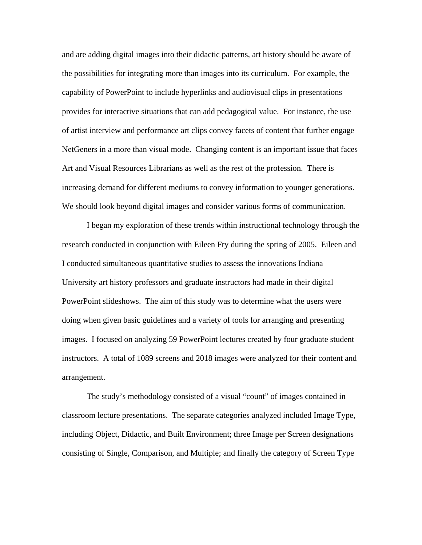and are adding digital images into their didactic patterns, art history should be aware of the possibilities for integrating more than images into its curriculum. For example, the capability of PowerPoint to include hyperlinks and audiovisual clips in presentations provides for interactive situations that can add pedagogical value. For instance, the use of artist interview and performance art clips convey facets of content that further engage NetGeners in a more than visual mode. Changing content is an important issue that faces Art and Visual Resources Librarians as well as the rest of the profession. There is increasing demand for different mediums to convey information to younger generations. We should look beyond digital images and consider various forms of communication.

I began my exploration of these trends within instructional technology through the research conducted in conjunction with Eileen Fry during the spring of 2005. Eileen and I conducted simultaneous quantitative studies to assess the innovations Indiana University art history professors and graduate instructors had made in their digital PowerPoint slideshows. The aim of this study was to determine what the users were doing when given basic guidelines and a variety of tools for arranging and presenting images. I focused on analyzing 59 PowerPoint lectures created by four graduate student instructors. A total of 1089 screens and 2018 images were analyzed for their content and arrangement.

The study's methodology consisted of a visual "count" of images contained in classroom lecture presentations. The separate categories analyzed included Image Type, including Object, Didactic, and Built Environment; three Image per Screen designations consisting of Single, Comparison, and Multiple; and finally the category of Screen Type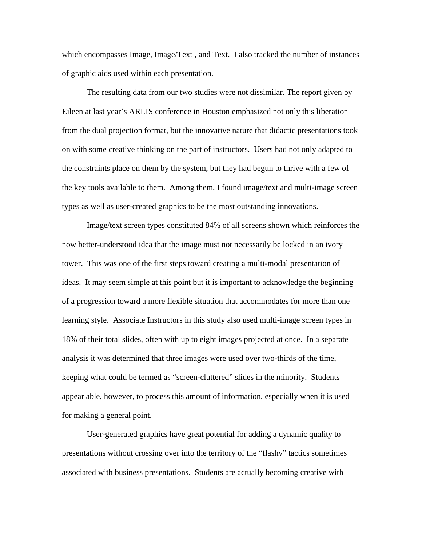which encompasses Image, Image/Text , and Text. I also tracked the number of instances of graphic aids used within each presentation.

The resulting data from our two studies were not dissimilar. The report given by Eileen at last year's ARLIS conference in Houston emphasized not only this liberation from the dual projection format, but the innovative nature that didactic presentations took on with some creative thinking on the part of instructors. Users had not only adapted to the constraints place on them by the system, but they had begun to thrive with a few of the key tools available to them. Among them, I found image/text and multi-image screen types as well as user-created graphics to be the most outstanding innovations.

Image/text screen types constituted 84% of all screens shown which reinforces the now better-understood idea that the image must not necessarily be locked in an ivory tower. This was one of the first steps toward creating a multi-modal presentation of ideas. It may seem simple at this point but it is important to acknowledge the beginning of a progression toward a more flexible situation that accommodates for more than one learning style. Associate Instructors in this study also used multi-image screen types in 18% of their total slides, often with up to eight images projected at once. In a separate analysis it was determined that three images were used over two-thirds of the time, keeping what could be termed as "screen-cluttered" slides in the minority. Students appear able, however, to process this amount of information, especially when it is used for making a general point.

User-generated graphics have great potential for adding a dynamic quality to presentations without crossing over into the territory of the "flashy" tactics sometimes associated with business presentations. Students are actually becoming creative with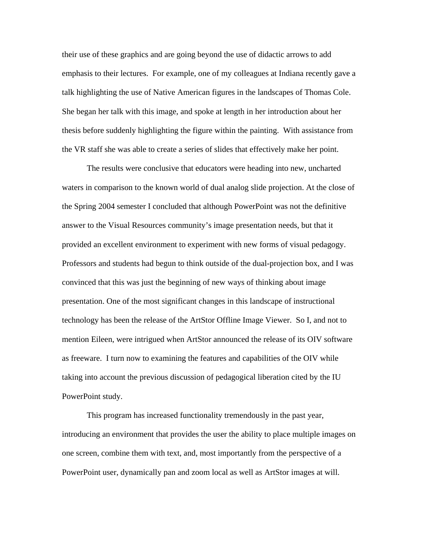their use of these graphics and are going beyond the use of didactic arrows to add emphasis to their lectures. For example, one of my colleagues at Indiana recently gave a talk highlighting the use of Native American figures in the landscapes of Thomas Cole. She began her talk with this image, and spoke at length in her introduction about her thesis before suddenly highlighting the figure within the painting. With assistance from the VR staff she was able to create a series of slides that effectively make her point.

The results were conclusive that educators were heading into new, uncharted waters in comparison to the known world of dual analog slide projection. At the close of the Spring 2004 semester I concluded that although PowerPoint was not the definitive answer to the Visual Resources community's image presentation needs, but that it provided an excellent environment to experiment with new forms of visual pedagogy. Professors and students had begun to think outside of the dual-projection box, and I was convinced that this was just the beginning of new ways of thinking about image presentation. One of the most significant changes in this landscape of instructional technology has been the release of the ArtStor Offline Image Viewer. So I, and not to mention Eileen, were intrigued when ArtStor announced the release of its OIV software as freeware. I turn now to examining the features and capabilities of the OIV while taking into account the previous discussion of pedagogical liberation cited by the IU PowerPoint study.

 This program has increased functionality tremendously in the past year, introducing an environment that provides the user the ability to place multiple images on one screen, combine them with text, and, most importantly from the perspective of a PowerPoint user, dynamically pan and zoom local as well as ArtStor images at will.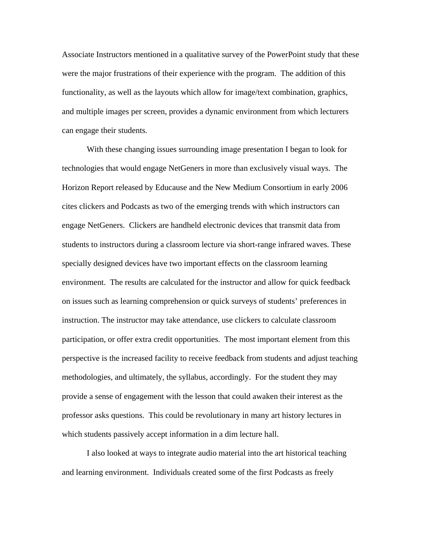Associate Instructors mentioned in a qualitative survey of the PowerPoint study that these were the major frustrations of their experience with the program. The addition of this functionality, as well as the layouts which allow for image/text combination, graphics, and multiple images per screen, provides a dynamic environment from which lecturers can engage their students.

With these changing issues surrounding image presentation I began to look for technologies that would engage NetGeners in more than exclusively visual ways. The Horizon Report released by Educause and the New Medium Consortium in early 2006 cites clickers and Podcasts as two of the emerging trends with which instructors can engage NetGeners. Clickers are handheld electronic devices that transmit data from students to instructors during a classroom lecture via short-range infrared waves. These specially designed devices have two important effects on the classroom learning environment. The results are calculated for the instructor and allow for quick feedback on issues such as learning comprehension or quick surveys of students' preferences in instruction. The instructor may take attendance, use clickers to calculate classroom participation, or offer extra credit opportunities. The most important element from this perspective is the increased facility to receive feedback from students and adjust teaching methodologies, and ultimately, the syllabus, accordingly. For the student they may provide a sense of engagement with the lesson that could awaken their interest as the professor asks questions. This could be revolutionary in many art history lectures in which students passively accept information in a dim lecture hall.

I also looked at ways to integrate audio material into the art historical teaching and learning environment. Individuals created some of the first Podcasts as freely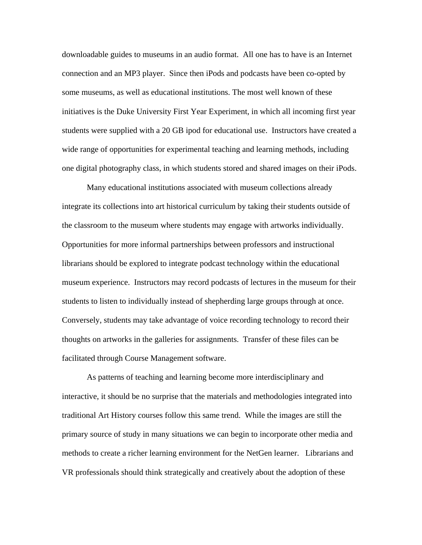downloadable guides to museums in an audio format. All one has to have is an Internet connection and an MP3 player. Since then iPods and podcasts have been co-opted by some museums, as well as educational institutions. The most well known of these initiatives is the Duke University First Year Experiment, in which all incoming first year students were supplied with a 20 GB ipod for educational use. Instructors have created a wide range of opportunities for experimental teaching and learning methods, including one digital photography class, in which students stored and shared images on their iPods.

Many educational institutions associated with museum collections already integrate its collections into art historical curriculum by taking their students outside of the classroom to the museum where students may engage with artworks individually. Opportunities for more informal partnerships between professors and instructional librarians should be explored to integrate podcast technology within the educational museum experience. Instructors may record podcasts of lectures in the museum for their students to listen to individually instead of shepherding large groups through at once. Conversely, students may take advantage of voice recording technology to record their thoughts on artworks in the galleries for assignments. Transfer of these files can be facilitated through Course Management software.

As patterns of teaching and learning become more interdisciplinary and interactive, it should be no surprise that the materials and methodologies integrated into traditional Art History courses follow this same trend. While the images are still the primary source of study in many situations we can begin to incorporate other media and methods to create a richer learning environment for the NetGen learner. Librarians and VR professionals should think strategically and creatively about the adoption of these